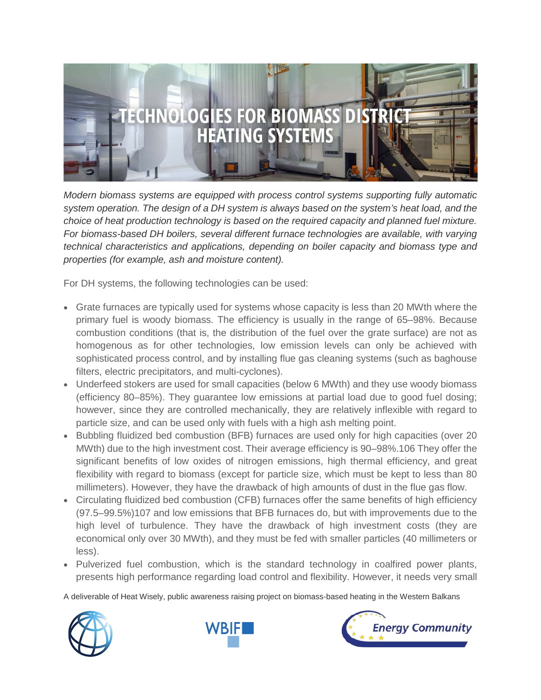

*Modern biomass systems are equipped with process control systems supporting fully automatic system operation. The design of a DH system is always based on the system's heat load, and the choice of heat production technology is based on the required capacity and planned fuel mixture. For biomass-based DH boilers, several different furnace technologies are available, with varying technical characteristics and applications, depending on boiler capacity and biomass type and properties (for example, ash and moisture content).*

For DH systems, the following technologies can be used:

- Grate furnaces are typically used for systems whose capacity is less than 20 MWth where the primary fuel is woody biomass. The efficiency is usually in the range of 65–98%. Because combustion conditions (that is, the distribution of the fuel over the grate surface) are not as homogenous as for other technologies, low emission levels can only be achieved with sophisticated process control, and by installing flue gas cleaning systems (such as baghouse filters, electric precipitators, and multi-cyclones).
- Underfeed stokers are used for small capacities (below 6 MWth) and they use woody biomass (efficiency 80–85%). They guarantee low emissions at partial load due to good fuel dosing; however, since they are controlled mechanically, they are relatively inflexible with regard to particle size, and can be used only with fuels with a high ash melting point.
- Bubbling fluidized bed combustion (BFB) furnaces are used only for high capacities (over 20 MWth) due to the high investment cost. Their average efficiency is 90–98%.106 They offer the significant benefits of low oxides of nitrogen emissions, high thermal efficiency, and great flexibility with regard to biomass (except for particle size, which must be kept to less than 80 millimeters). However, they have the drawback of high amounts of dust in the flue gas flow.
- Circulating fluidized bed combustion (CFB) furnaces offer the same benefits of high efficiency (97.5–99.5%)107 and low emissions that BFB furnaces do, but with improvements due to the high level of turbulence. They have the drawback of high investment costs (they are economical only over 30 MWth), and they must be fed with smaller particles (40 millimeters or less).
- Pulverized fuel combustion, which is the standard technology in coalfired power plants, presents high performance regarding load control and flexibility. However, it needs very small

A deliverable of Heat Wisely, public awareness raising project on biomass-based heating in the Western Balkans





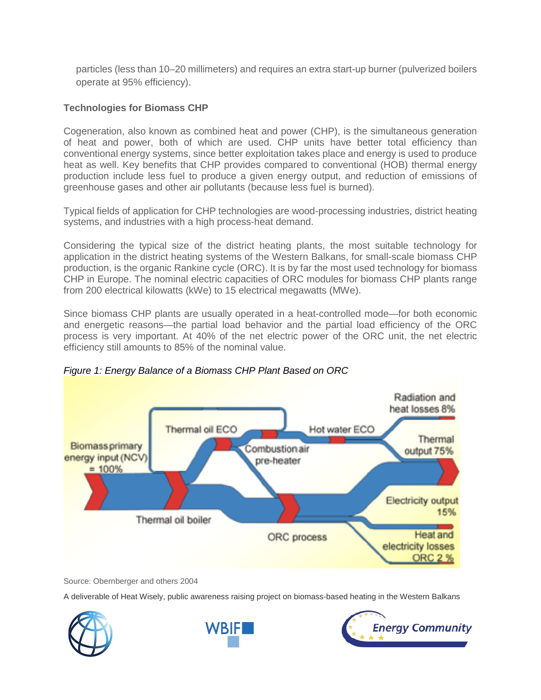particles (less than 10–20 millimeters) and requires an extra start-up burner (pulverized boilers operate at 95% efficiency).

## **Technologies for Biomass CHP**

Cogeneration, also known as combined heat and power (CHP), is the simultaneous generation of heat and power, both of which are used. CHP units have better total efficiency than conventional energy systems, since better exploitation takes place and energy is used to produce heat as well. Key benefits that CHP provides compared to conventional (HOB) thermal energy production include less fuel to produce a given energy output, and reduction of emissions of greenhouse gases and other air pollutants (because less fuel is burned).

Typical fields of application for CHP technologies are wood-processing industries, district heating systems, and industries with a high process-heat demand.

Considering the typical size of the district heating plants, the most suitable technology for application in the district heating systems of the Western Balkans, for small-scale biomass CHP production, is the organic Rankine cycle (ORC). It is by far the most used technology for biomass CHP in Europe. The nominal electric capacities of ORC modules for biomass CHP plants range from 200 electrical kilowatts (kWe) to 15 electrical megawatts (MWe).

Since biomass CHP plants are usually operated in a heat-controlled mode—for both economic and energetic reasons—the partial load behavior and the partial load efficiency of the ORC process is very important. At 40% of the net electric power of the ORC unit, the net electric efficiency still amounts to 85% of the nominal value.



*Figure 1: Energy Balance of a Biomass CHP Plant Based on ORC*

Source: Obernberger and others 2004

A deliverable of Heat Wisely, public awareness raising project on biomass-based heating in the Western Balkans